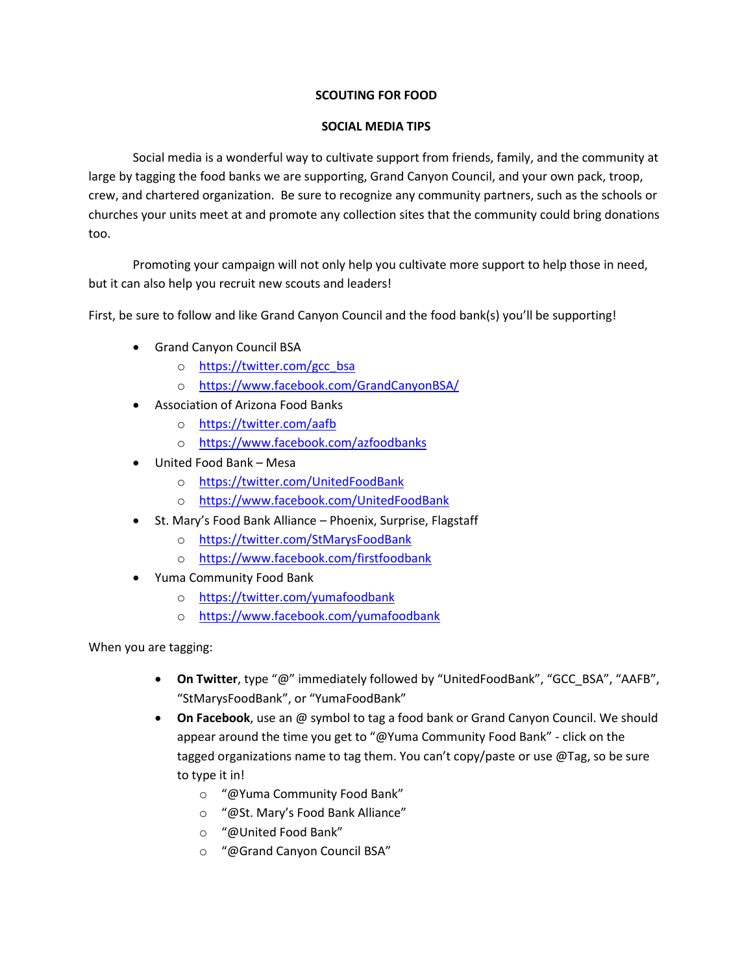## **SCOUTING FOR FOOD**

## **SOCIAL MEDIA TIPS**

Social media is a wonderful way to cultivate support from friends, family, and the community at large by tagging the food banks we are supporting, Grand Canyon Council, and your own pack, troop, crew, and chartered organization. Be sure to recognize any community partners, such as the schools or churches your units meet at and promote any collection sites that the community could bring donations too.

Promoting your campaign will not only help you cultivate more support to help those in need, but it can also help you recruit new scouts and leaders!

First, be sure to follow and like Grand Canyon Council and the food bank(s) you'll be supporting!

- Grand Canyon Council BSA
	- o [https://twitter.com/gcc\\_bsa](https://twitter.com/gcc_bsa)
	- o <https://www.facebook.com/GrandCanyonBSA/>
- Association of Arizona Food Banks
	- o <https://twitter.com/aafb>
	- o <https://www.facebook.com/azfoodbanks>
- United Food Bank Mesa
	- o <https://twitter.com/UnitedFoodBank>
	- o <https://www.facebook.com/UnitedFoodBank>
- St. Mary's Food Bank Alliance Phoenix, Surprise, Flagstaff
	- o <https://twitter.com/StMarysFoodBank>
	- o <https://www.facebook.com/firstfoodbank>
- Yuma Community Food Bank
	- o <https://twitter.com/yumafoodbank>
	- o <https://www.facebook.com/yumafoodbank>

When you are tagging:

- **On Twitter**, type "@" immediately followed by "UnitedFoodBank", "GCC\_BSA", "AAFB", "StMarysFoodBank", or "YumaFoodBank"
- **On Facebook**, use an @ symbol to tag a food bank or Grand Canyon Council. We should appear around the time you get to "@Yuma Community Food Bank" - click on the tagged organizations name to tag them. You can't copy/paste or use @Tag, so be sure to type it in!
	- o "@Yuma Community Food Bank"
	- o "@St. Mary's Food Bank Alliance"
	- o "@United Food Bank"
	- o "@Grand Canyon Council BSA"